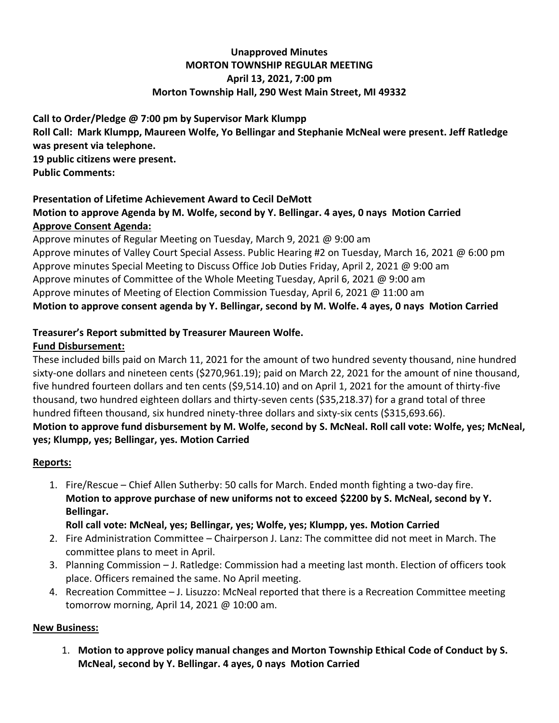#### **Unapproved Minutes MORTON TOWNSHIP REGULAR MEETING April 13, 2021, 7:00 pm Morton Township Hall, 290 West Main Street, MI 49332**

**Call to Order/Pledge @ 7:00 pm by Supervisor Mark Klumpp Roll Call: Mark Klumpp, Maureen Wolfe, Yo Bellingar and Stephanie McNeal were present. Jeff Ratledge was present via telephone. 19 public citizens were present. Public Comments:** 

# **Presentation of Lifetime Achievement Award to Cecil DeMott**

#### **Motion to approve Agenda by M. Wolfe, second by Y. Bellingar. 4 ayes, 0 nays Motion Carried Approve Consent Agenda:**

Approve minutes of Regular Meeting on Tuesday, March 9, 2021 @ 9:00 am Approve minutes of Valley Court Special Assess. Public Hearing #2 on Tuesday, March 16, 2021 @ 6:00 pm Approve minutes Special Meeting to Discuss Office Job Duties Friday, April 2, 2021 @ 9:00 am Approve minutes of Committee of the Whole Meeting Tuesday, April 6, 2021 @ 9:00 am Approve minutes of Meeting of Election Commission Tuesday, April 6, 2021 @ 11:00 am **Motion to approve consent agenda by Y. Bellingar, second by M. Wolfe. 4 ayes, 0 nays Motion Carried**

#### **Treasurer's Report submitted by Treasurer Maureen Wolfe.**

#### **Fund Disbursement:**

These included bills paid on March 11, 2021 for the amount of two hundred seventy thousand, nine hundred sixty-one dollars and nineteen cents (\$270,961.19); paid on March 22, 2021 for the amount of nine thousand, five hundred fourteen dollars and ten cents (\$9,514.10) and on April 1, 2021 for the amount of thirty-five thousand, two hundred eighteen dollars and thirty-seven cents (\$35,218.37) for a grand total of three hundred fifteen thousand, six hundred ninety-three dollars and sixty-six cents (\$315,693.66). **Motion to approve fund disbursement by M. Wolfe, second by S. McNeal. Roll call vote: Wolfe, yes; McNeal,** 

#### **yes; Klumpp, yes; Bellingar, yes. Motion Carried**

## **Reports:**

1. Fire/Rescue – Chief Allen Sutherby: 50 calls for March. Ended month fighting a two-day fire. **Motion to approve purchase of new uniforms not to exceed \$2200 by S. McNeal, second by Y. Bellingar.** 

**Roll call vote: McNeal, yes; Bellingar, yes; Wolfe, yes; Klumpp, yes. Motion Carried**

- 2. Fire Administration Committee Chairperson J. Lanz: The committee did not meet in March. The committee plans to meet in April.
- 3. Planning Commission J. Ratledge: Commission had a meeting last month. Election of officers took place. Officers remained the same. No April meeting.
- 4. Recreation Committee J. Lisuzzo: McNeal reported that there is a Recreation Committee meeting tomorrow morning, April 14, 2021 @ 10:00 am.

## **New Business:**

1. **Motion to approve policy manual changes and Morton Township Ethical Code of Conduct by S. McNeal, second by Y. Bellingar. 4 ayes, 0 nays Motion Carried**